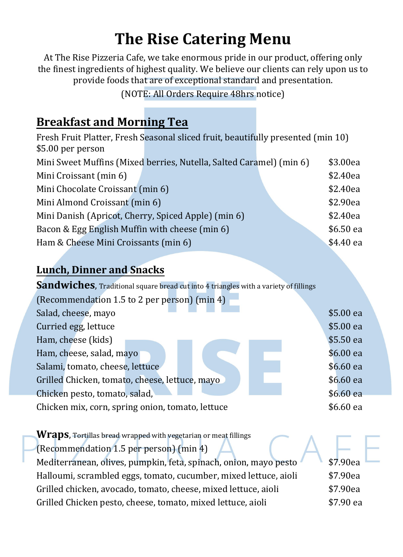# **The Rise Catering Menu**

At The Rise Pizzeria Cafe, we take enormous pride in our product, offering only the finest ingredients of highest quality. We believe our clients can rely upon us to provide foods that are of exceptional standard and presentation.

(NOTE: All Orders Require 48hrs notice)

## **Breakfast and Morning Tea**

|                                                     | Fresh Fruit Platter, Fresh Seasonal sliced fruit, beautifully presented (min 10) |           |
|-----------------------------------------------------|----------------------------------------------------------------------------------|-----------|
| \$5.00 per person                                   |                                                                                  |           |
|                                                     | Mini Sweet Muffins (Mixed berries, Nutella, Salted Caramel) (min 6)              | \$3.00ea  |
| Mini Croissant (min 6)                              |                                                                                  | \$2.40ea  |
| Mini Chocolate Croissant (min 6)                    |                                                                                  | \$2.40ea  |
| Mini Almond Croissant (min 6)                       |                                                                                  | \$2.90ea  |
| Mini Danish (Apricot, Cherry, Spiced Apple) (min 6) |                                                                                  | \$2.40ea  |
| Bacon & Egg English Muffin with cheese (min 6)      |                                                                                  | \$6.50 ea |
| Ham & Cheese Mini Croissants (min 6)                |                                                                                  | \$4.40 ea |

## **Lunch, Dinner and Snacks**

#### **Sandwiches**, Traditional square bread cut into 4 triangles with a variety of fillings

| (Recommendation 1.5 to 2 per person) (min 4)     |            |
|--------------------------------------------------|------------|
| Salad, cheese, mayo                              | \$5.00 ea  |
| Curried egg, lettuce                             | \$5.00 ea  |
| Ham, cheese (kids)                               | \$5.50 ea  |
| Ham, cheese, salad, mayo                         | \$6.00 ea  |
| Salami, tomato, cheese, lettuce                  | $$6.60$ ea |
| Grilled Chicken, tomato, cheese, lettuce, mayo   | \$6.60 ea  |
| Chicken pesto, tomato, salad,                    | \$6.60 ea  |
| Chicken mix, corn, spring onion, tomato, lettuce | \$6.60 ea  |

| <b>Wraps</b> , Tortillas bread wrapped with vegetarian or meat fillings |           |
|-------------------------------------------------------------------------|-----------|
| (Recommendation 1.5 per person) (min 4)                                 |           |
| Mediterranean, olives, pumpkin, feta, spinach, onion, mayo pesto        | \$7.90ea  |
| Halloumi, scrambled eggs, tomato, cucumber, mixed lettuce, aioli        | \$7.90ea  |
| Grilled chicken, avocado, tomato, cheese, mixed lettuce, aioli          | \$7.90ea  |
| Grilled Chicken pesto, cheese, tomato, mixed lettuce, aioli             | \$7.90 ea |